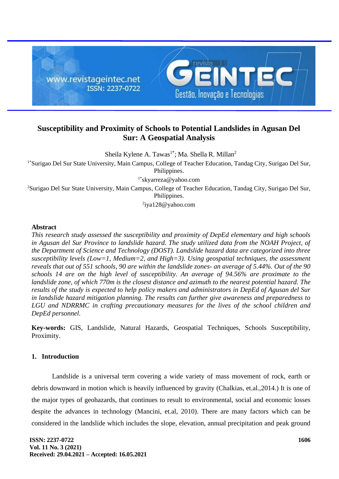

# **Susceptibility and Proximity of Schools to Potential Landslides in Agusan Del Sur: A Geospatial Analysis**

Sheila Kylene A. Tawas<sup>1\*</sup>; Ma. Shella R. Millan<sup>2</sup>

1\*Surigao Del Sur State University, Main Campus, College of Teacher Education, Tandag City, Surigao Del Sur, Philippines.

1\*[skyarreza@yahoo.com](mailto:mokaram_76@yahoo.com)

<sup>2</sup>Surigao Del Sur State University, Main Campus, College of Teacher Education, Tandag City, Surigao Del Sur, Philippines.

<sup>2</sup>[iya128@yahoo.com](mailto:iya128@yahoo.com)

#### **Abstract**

*This research study assessed the susceptibility and proximity of DepEd elementary and high schools in Agusan del Sur Province to landslide hazard. The study utilized data from the NOAH Project, of the Department of Science and Technology (DOST). Landslide hazard data are categorized into three susceptibility levels (Low=1, Medium=2, and High=3). Using geospatial techniques, the assessment reveals that out of 551 schools, 90 are within the landslide zones- an average of 5.44%. Out of the 90 schools 14 are on the high level of susceptibility. An average of 94.56% are proximate to the landslide zone, of which 770m is the closest distance and azimuth to the nearest potential hazard. The results of the study is expected to help policy makers and administrators in DepEd of Agusan del Sur in landslide hazard mitigation planning. The results can further give awareness and preparedness to LGU and NDRRMC in crafting precautionary measures for the lives of the school children and DepEd personnel.* 

**Key-words:** GIS, Landslide, Natural Hazards, Geospatial Techniques, Schools Susceptibility, Proximity.

# **1. Introduction**

Landslide is a universal term covering a wide variety of mass movement of rock, earth or debris downward in motion which is heavily influenced by gravity (Chalkias, et.al.,2014.) It is one of the major types of geohazards, that continues to result to environmental, social and economic losses despite the advances in technology (Mancini, et.al, 2010). There are many factors which can be considered in the landslide which includes the slope, elevation, annual precipitation and peak ground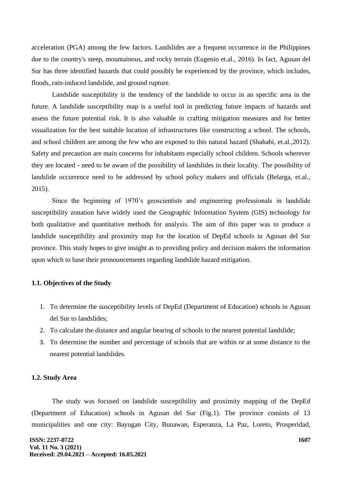acceleration (PGA) among the few factors. Landslides are a frequent occurrence in the Philippines due to the country's steep, mountainous, and rocky terrain (Eugenio et.al., 2016). In fact, Agusan del Sur has three identified hazards that could possibly be experienced by the province, which includes, floods, rain-induced landslide, and ground rupture.

Landslide susceptibility is the tendency of the landslide to occur in an specific area in the future. A landslide susceptibility map is a useful tool in predicting future impacts of hazards and assess the future potential risk. It is also valuable in crafting mitigation measures and for better visualization for the best suitable location of infrastructures like constructing a school. The schools, and school children are among the few who are exposed to this natural hazard (Shahabi, et.al.,2012). Safety and precaution are main concerns for inhabitants especially school children. Schools wherever they are located - need to be aware of the possibility of landslides in their locality. The possibility of landslide occurrence need to be addressed by school policy makers and officials (Belarga, et.al., 2015).

Since the beginning of 1970's geoscientists and engineering professionals in landslide susceptibility zonation have widely used the Geographic Information System (GIS) technology for both qualitative and quantitative methods for analysis. The aim of this paper was to produce a landslide susceptibility and proximity map for the location of DepEd schools in Agusan del Sur province. This study hopes to give insight as to providing policy and decision makers the information upon which to base their pronouncements regarding landslide hazard mitigation.

### **1.1. Objectives of the Study**

- 1. To determine the susceptibility levels of DepEd (Department of Education) schools in Agusan del Sur to landslides;
- 2. To calculate the distance and angular bearing of schools to the nearest potential landslide;
- 3. To determine the number and percentage of schools that are within or at some distance to the nearest potential landslides.

### **1.2. Study Area**

The study was focused on landslide susceptibility and proximity mapping of the DepEd (Department of Education) schools in Agusan del Sur (Fig.1). The province consists of 13 municipalities and one city: Bayugan City, Bunawan, Esperanza, La Paz, Loreto, Prosperidad,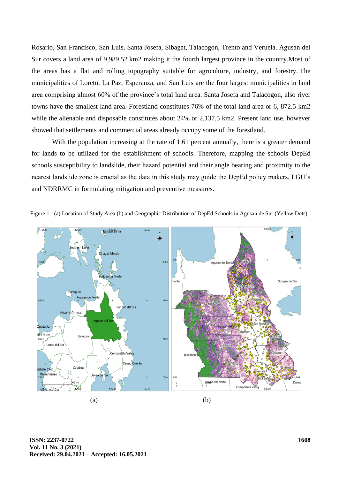Rosario, San Francisco, San Luis, Santa Josefa, Sibagat, Talacogon, Trento and Veruela. Agusan del Sur covers a land area of 9,989.52 km2 making it the fourth largest province in the country.Most of the areas has a flat and rolling topography suitable for agriculture, industry, and forestry. The municipalities of Loreto, La Paz, Esperanza, and San Luis are the four largest municipalities in land area comprising almost 60% of the province's total land area. Santa Josefa and Talacogon, also river towns have the smallest land area. Forestland constitutes 76% of the total land area or 6, 872.5 km2 while the alienable and disposable constitutes about 24% or 2,137.5 km2. Present land use, however showed that settlements and commercial areas already occupy some of the forestland.

With the population increasing at the rate of 1.61 percent annually, there is a greater demand for lands to be utilized for the establishment of schools. Therefore, mapping the schools DepEd schools susceptibility to landslide, their hazard potential and their angle bearing and proximity to the nearest landslide zone is crucial as the data in this study may guide the DepEd policy makers, LGU's and NDRRMC in formulating mitigation and preventive measures.



Figure 1 - (a) Location of Study Area (b) and Geographic Distribution of DepEd Schools in Agusan de Sur (Yellow Dots)

**ISSN: 2237-0722 Vol. 11 No. 3 (2021) Received: 29.04.2021 – Accepted: 16.05.2021**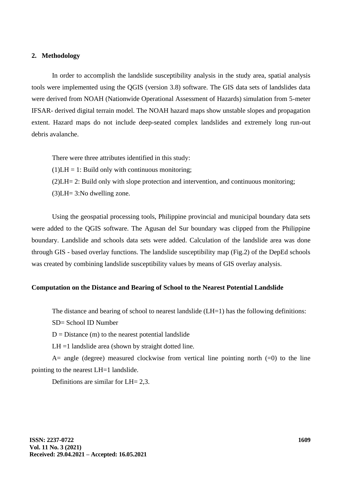#### **2. Methodology**

In order to accomplish the landslide susceptibility analysis in the study area, spatial analysis tools were implemented using the QGIS (version 3.8) software. The GIS data sets of landslides data were derived from NOAH (Nationwide Operational Assessment of Hazards) simulation from 5-meter IFSAR- derived digital terrain model. The NOAH hazard maps show unstable slopes and propagation extent. Hazard maps do not include deep-seated complex landslides and extremely long run-out debris avalanche.

There were three attributes identified in this study:

 $(1)$ LH = 1: Build only with continuous monitoring;

(2)LH= 2: Build only with slope protection and intervention, and continuous monitoring;

(3)LH= 3:No dwelling zone.

Using the geospatial processing tools, Philippine provincial and municipal boundary data sets were added to the QGIS software. The Agusan del Sur boundary was clipped from the Philippine boundary. Landslide and schools data sets were added. Calculation of the landslide area was done through GIS - based overlay functions. The landslide susceptibility map (Fig.2) of the DepEd schools was created by combining landslide susceptibility values by means of GIS overlay analysis.

#### **Computation on the Distance and Bearing of School to the Nearest Potential Landslide**

The distance and bearing of school to nearest landslide (LH=1) has the following definitions:

SD= School ID Number

 $D = Distance(m)$  to the nearest potential landslide

 $LH = 1$  landslide area (shown by straight dotted line.

A= angle (degree) measured clockwise from vertical line pointing north  $(=0)$  to the line pointing to the nearest LH=1 landslide.

Definitions are similar for LH= 2,3.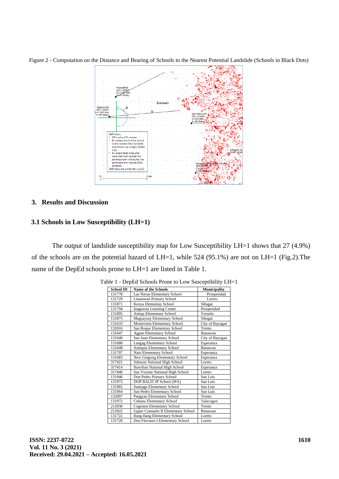Figure 2 - Computation on the Distance and Bearing of Schools to the Nearest Potential Landslide (Schools in Black Dots)



## **3. Results and Discussion**

### **3.1 Schools in Low Susceptibility (LH=1)**

The output of landslide susceptibility map for Low Susceptibility LH=1 shows that 27 (4.9%) of the schools are on the potential hazard of LH=1, while 524 (95.1%) are not on LH=1 (Fig.2).The name of the DepEd schools prone to LH=1 are listed in Table 1.

| <b>School ID</b> | <b>Name of the Schools</b>                 | <b>Municipality</b> |
|------------------|--------------------------------------------|---------------------|
| 131778           | Las Navas Elementary School                | Prosperidad         |
| 131729           | Linatawan Primary School                   | Loreto              |
| 131871           | Keoya Elementay School                     | Sibagat             |
| 131794           | Inagawan Learning Center                   | Prosperidad         |
| 131895           | Anitap Elementary School                   | Veruela             |
| 131875           | Magsaysay Elementary School                | Sibagat             |
| 131633           | Montevista Elementary School               | City of Bayugan     |
| 132016           | San Roque Elementary School                | Trento              |
| 131647           | <b>Agpan Elementary School</b>             | Bunawan             |
| 131640           | San Juan Elementary School                 | City of Bayugan     |
| 131680           | Langag Elementary School                   | Esperanza           |
| 131648           | Antiquia Elementary School                 | <b>Bunawan</b>      |
| 131707           | Nato Elementary School                     | Esperanza           |
| 131683           | New Gingoog Elementary School              | Esperanza           |
| 317421           | Johnson National High School               | Loreto              |
| 317414           | Hawilian National High School              | Esperanza           |
| 317446           | San Vicente National High School           | Loreto              |
| 131946           | Don Pedro Primary School                   | San Luis            |
| 131973           | DOP BALIT IP School (IPA)                  | San Luis            |
| 131965           | Santiago Elementary School                 | San Luis            |
| 131964           | San Pedro Elementary School                | San Luis            |
| 132007           | Pangyan Elementary School                  | Trento              |
| 131972           | Cebuna Elementary School                   | Talacogon           |
| 212030           | Cogonon Elementary School                  | Trento              |
| 212022           | <b>Upper Consuelo II Elementary School</b> | Bunawan             |
| 131722           | <b>Ilang-Ilang Elementary School</b>       | Loreto              |
| 131720           | Don Flaviano I Elementary School           | Loreto              |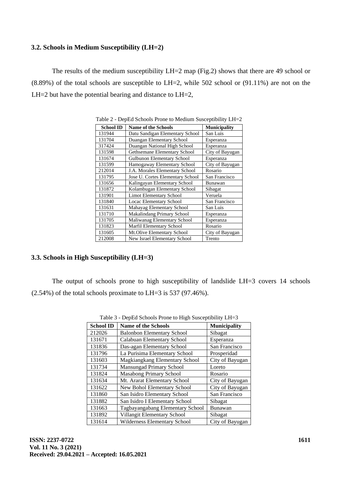### **3.2. Schools in Medium Susceptibility (LH=2)**

The results of the medium susceptibility LH=2 map (Fig.2) shows that there are 49 school or (8.89%) of the total schools are susceptible to LH=2, while 502 school or (91.11%) are not on the LH $=$ 2 but have the potential bearing and distance to LH $=$ 2,

| <b>School ID</b> | <b>Name of the Schools</b>        | <b>Municipality</b> |
|------------------|-----------------------------------|---------------------|
| 131944           | Datu Sandigan Elementary School   | San Luis            |
| 131704           | Duangan Elementary School         | Esperanza           |
| 317424           | Duangan National High School      | Esperanza           |
| 131598           | Gethsemane Elementary School      | City of Bayugan     |
| 131674           | Gulbunon Elementary School        | Esperanza           |
| 131599           | Hamogaway Elementary School       | City of Bayugan     |
| 212014           | J.A. Morales Elementary School    | Rosario             |
| 131795           | Jose U. Cortes Elementary School  | San Francisco       |
| 131656           | Kalingayan Elementary School      | Bunawan             |
| 131872           | Kolambugan Elementary School      | Sibagat             |
| 131901           | <b>Limot Elementary School</b>    | Veruela             |
| 131840           | Locac Elementary School           | San Francisco       |
| 131631           | Mahayag Elementary School         | San Luis            |
| 131710           | <b>Makalindang Primary School</b> | Esperanza           |
| 131705           | Maliwanag Elementary School       | Esperanza           |
| 131823           | Marfil Elementary School          | Rosario             |
| 131605           | Mt.Olive Elementary School        | City of Bayugan     |
| 212008           | New Israel Elementary School      | Trento              |

Table 2 - DepEd Schools Prone to Medium Susceptibility LH=2

# **3.3. Schools in High Susceptibility (LH=3)**

The output of schools prone to high susceptibility of landslide LH=3 covers 14 schools (2.54%) of the total schools proximate to LH=3 is 537 (97.46%).

| <b>School ID</b> | <b>Name of the Schools</b>        | <b>Municipality</b> |
|------------------|-----------------------------------|---------------------|
| 212026           | <b>Balonbon Elementary School</b> | Sibagat             |
| 131671           | Calabuan Elementary School        | Esperanza           |
| 131836           | Das-agan Elementary School        | San Francisco       |
| 131796           | La Purisima Elementary School     | Prosperidad         |
| 131603           | Magkiangkang Elementary School    | City of Bayugan     |
| 131734           | Mansungad Primary School          | Loreto              |
| 131824           | <b>Masabong Primary School</b>    | Rosario             |
| 131634           | Mt. Ararat Elementary School      | City of Bayugan     |
| 131622           | New Bohol Elementary School       | City of Bayugan     |
| 131860           | San Isidro Elementary School      | San Francisco       |
| 131882           | San Isidro I Elementary School    | Sibagat             |
| 131663           | Tagbayangabang Elementary School  | Bunawan             |
| 131892           | Villangit Elementary School       | Sibagat             |
| 131614           | Wilderness Elementary School      | City of Bayugan     |

Table 3 - DepEd Schools Prone to High Susceptibility LH=3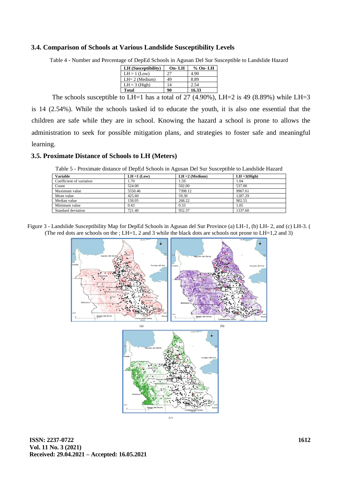#### **3.4. Comparison of Schools at Various Landslide Susceptibility Levels**

Table 4 - Number and Percentage of DepEd Schools in Agusan Del Sur Susceptible to Landslide Hazard

| LH (Susceptibility) | $On$ -LH | $%$ On-LH |
|---------------------|----------|-----------|
| $LH = 1$ (Low)      | 27       | 4.90      |
| $LH = 2$ (Medium)   | 49       | 8.89      |
| $LH = 3$ (High)     | 14       | 2.54      |
| Total               | 90       | 16.33     |

The schools susceptible to LH=1 has a total of 27  $(4.90\%)$ , LH=2 is 49  $(8.89\%)$  while LH=3 is 14 (2.54%). While the schools tasked id to educate the youth, it is also one essential that the children are safe while they are in school. Knowing the hazard a school is prone to allows the administration to seek for possible mitigation plans, and strategies to foster safe and meaningful learning.

### **3.5. Proximate Distance of Schools to LH (Meters)**

Table 5 - Proximate distance of DepEd Schools in Agusan Del Sur Susceptible to Landslide Hazard

| <b>Variable</b>          | $LH = 1$ (Low) | $LH = 2$ (Medium) | $LH = 3(High)$ |
|--------------------------|----------------|-------------------|----------------|
| Coefficient of variation | . . 70         | 1.59              | 1.04           |
| Count                    | 524.00         | 502.00            | 537.00         |
| Maximum value            | 5550.46        | 7398.12           | 9967.61        |
| Mean value               | 425.60         | 59.30             | 1287.29        |
| Median value             | 158.05         | 268.22            | 902.55         |
| Minimum value            | 0.43           | 0.33              | 1.05           |
| Standard deviation       | 721.40         | 952.37            | 1337.60        |

Figure 3 - Landslide Susceptibility Map for DepEd Schools in Agusan del Sur Province (a) LH-1, (b) LH- 2, and (c) LH-3. ( (The red dots are schools on the ; LH=1, 2 and 3 while the black dots are schools not prone to LH=1,2 and 3)





**ISSN: 2237-0722 Vol. 11 No. 3 (2021) Received: 29.04.2021 – Accepted: 16.05.2021**